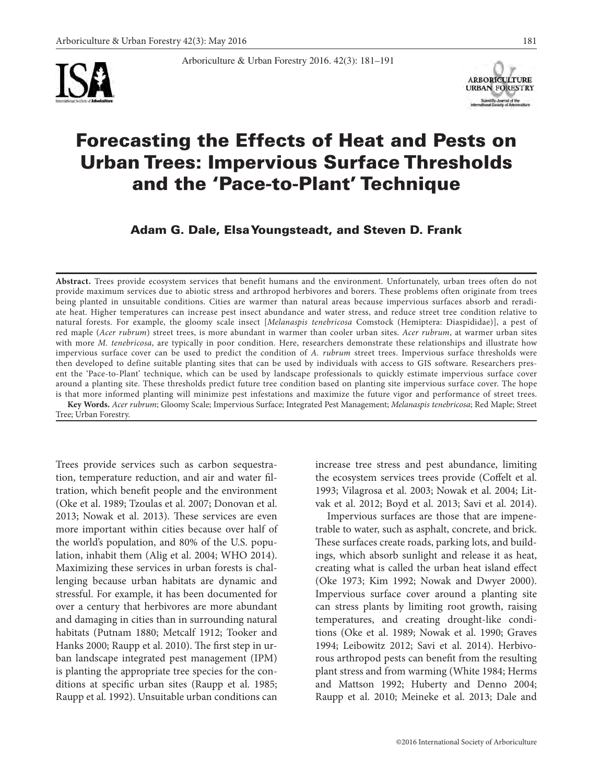



# Forecasting the Effects of Heat and Pests on Urban Trees: Impervious Surface Thresholds and the 'Pace-to-Plant' Technique

Arboriculture & Urban Forestry 2016. 42(3): 181–191

Adam G. Dale, Elsa Youngsteadt, and Steven D. Frank

**Abstract.** Trees provide ecosystem services that benefit humans and the environment. Unfortunately, urban trees often do not provide maximum services due to abiotic stress and arthropod herbivores and borers. These problems often originate from trees being planted in unsuitable conditions. Cities are warmer than natural areas because impervious surfaces absorb and reradiate heat. Higher temperatures can increase pest insect abundance and water stress, and reduce street tree condition relative to natural forests. For example, the gloomy scale insect [*Melanaspis tenebricosa* Comstock (Hemiptera: Diaspididae)], a pest of red maple (*Acer rubrum*) street trees, is more abundant in warmer than cooler urban sites. *Acer rubrum*, at warmer urban sites with more *M. tenebricosa*, are typically in poor condition. Here, researchers demonstrate these relationships and illustrate how impervious surface cover can be used to predict the condition of *A. rubrum* street trees. Impervious surface thresholds were then developed to define suitable planting sites that can be used by individuals with access to GIS software. Researchers present the 'Pace-to-Plant' technique, which can be used by landscape professionals to quickly estimate impervious surface cover around a planting site. These thresholds predict future tree condition based on planting site impervious surface cover. The hope is that more informed planting will minimize pest infestations and maximize the future vigor and performance of street trees.

**Key Words.** *Acer rubrum*; Gloomy Scale; Impervious Surface; Integrated Pest Management; *Melanaspis tenebricosa*; Red Maple; Street Tree; Urban Forestry.

Trees provide services such as carbon sequestration, temperature reduction, and air and water filtration, which benefit people and the environment (Oke et al. 1989; Tzoulas et al. 2007; Donovan et al. 2013; Nowak et al. 2013). These services are even more important within cities because over half of the world's population, and 80% of the U.S. population, inhabit them (Alig et al. 2004; WHO 2014). Maximizing these services in urban forests is challenging because urban habitats are dynamic and stressful. For example, it has been documented for over a century that herbivores are more abundant and damaging in cities than in surrounding natural habitats (Putnam 1880; Metcalf 1912; Tooker and Hanks 2000; Raupp et al. 2010). The first step in urban landscape integrated pest management (IPM) is planting the appropriate tree species for the conditions at specific urban sites (Raupp et al. 1985; Raupp et al. 1992). Unsuitable urban conditions can increase tree stress and pest abundance, limiting the ecosystem services trees provide (Coffelt et al. 1993; Vilagrosa et al. 2003; Nowak et al. 2004; Litvak et al. 2012; Boyd et al. 2013; Savi et al. 2014).

Impervious surfaces are those that are impenetrable to water, such as asphalt, concrete, and brick. These surfaces create roads, parking lots, and buildings, which absorb sunlight and release it as heat, creating what is called the urban heat island effect (Oke 1973; Kim 1992; Nowak and Dwyer 2000). Impervious surface cover around a planting site can stress plants by limiting root growth, raising temperatures, and creating drought-like conditions (Oke et al. 1989; Nowak et al. 1990; Graves 1994; Leibowitz 2012; Savi et al. 2014). Herbivorous arthropod pests can benefit from the resulting plant stress and from warming (White 1984; Herms and Mattson 1992; Huberty and Denno 2004; Raupp et al. 2010; Meineke et al. 2013; Dale and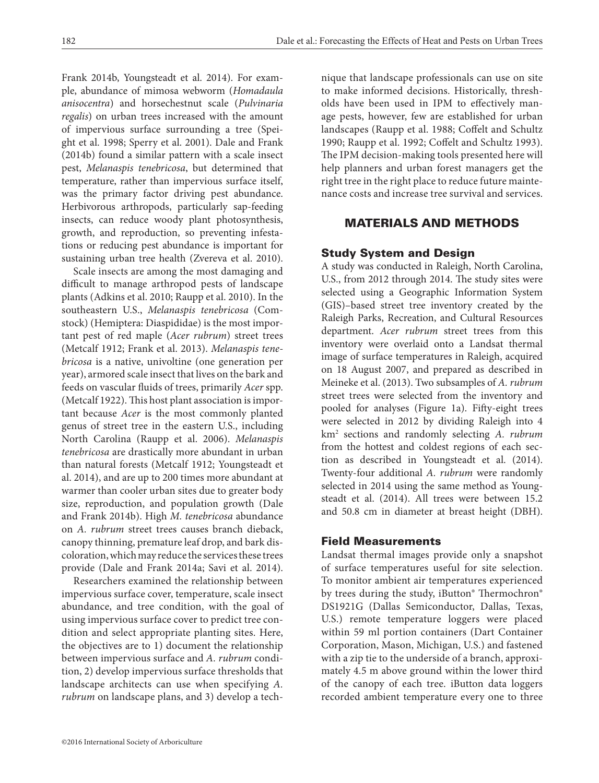Frank 2014b, Youngsteadt et al. 2014). For example, abundance of mimosa webworm (*Homadaula anisocentra*) and horsechestnut scale (*Pulvinaria regalis*) on urban trees increased with the amount of impervious surface surrounding a tree (Speight et al. 1998; Sperry et al. 2001). Dale and Frank (2014b) found a similar pattern with a scale insect pest, *Melanaspis tenebricosa*, but determined that temperature, rather than impervious surface itself, was the primary factor driving pest abundance. Herbivorous arthropods, particularly sap-feeding insects, can reduce woody plant photosynthesis, growth, and reproduction, so preventing infestations or reducing pest abundance is important for sustaining urban tree health (Zvereva et al. 2010).

Scale insects are among the most damaging and difficult to manage arthropod pests of landscape plants (Adkins et al. 2010; Raupp et al. 2010). In the southeastern U.S., *Melanaspis tenebricosa* (Comstock) (Hemiptera: Diaspididae) is the most important pest of red maple (*Acer rubrum*) street trees (Metcalf 1912; Frank et al. 2013). *Melanaspis tenebricosa* is a native, univoltine (one generation per year), armored scale insect that lives on the bark and feeds on vascular fluids of trees, primarily *Acer* spp. (Metcalf 1922). This host plant association is important because *Acer* is the most commonly planted genus of street tree in the eastern U.S., including North Carolina (Raupp et al. 2006). *Melanaspis tenebricosa* are drastically more abundant in urban than natural forests (Metcalf 1912; Youngsteadt et al. 2014), and are up to 200 times more abundant at warmer than cooler urban sites due to greater body size, reproduction, and population growth (Dale and Frank 2014b). High *M. tenebricosa* abundance on *A. rubrum* street trees causes branch dieback, canopy thinning, premature leaf drop, and bark discoloration, which may reduce the services these trees provide (Dale and Frank 2014a; Savi et al. 2014).

Researchers examined the relationship between impervious surface cover, temperature, scale insect abundance, and tree condition, with the goal of using impervious surface cover to predict tree condition and select appropriate planting sites. Here, the objectives are to 1) document the relationship between impervious surface and *A. rubrum* condition, 2) develop impervious surface thresholds that landscape architects can use when specifying *A. rubrum* on landscape plans, and 3) develop a tech-

nique that landscape professionals can use on site to make informed decisions. Historically, thresholds have been used in IPM to effectively manage pests, however, few are established for urban landscapes (Raupp et al. 1988; Coffelt and Schultz 1990; Raupp et al. 1992; Coffelt and Schultz 1993). The IPM decision-making tools presented here will help planners and urban forest managers get the right tree in the right place to reduce future maintenance costs and increase tree survival and services.

# MATERIALS AND METHODS

# Study System and Design

A study was conducted in Raleigh, North Carolina, U.S., from 2012 through 2014. The study sites were selected using a Geographic Information System (GIS)–based street tree inventory created by the Raleigh Parks, Recreation, and Cultural Resources department. *Acer rubrum* street trees from this inventory were overlaid onto a Landsat thermal image of surface temperatures in Raleigh, acquired on 18 August 2007, and prepared as described in Meineke et al. (2013). Two subsamples of *A. rubrum* street trees were selected from the inventory and pooled for analyses (Figure 1a). Fifty-eight trees were selected in 2012 by dividing Raleigh into 4 km2 sections and randomly selecting *A. rubrum* from the hottest and coldest regions of each section as described in Youngsteadt et al. (2014). Twenty-four additional *A. rubrum* were randomly selected in 2014 using the same method as Youngsteadt et al. (2014). All trees were between 15.2 and 50.8 cm in diameter at breast height (DBH).

## Field Measurements

Landsat thermal images provide only a snapshot of surface temperatures useful for site selection. To monitor ambient air temperatures experienced by trees during the study, iButton® Thermochron® DS1921G (Dallas Semiconductor, Dallas, Texas, U.S.) remote temperature loggers were placed within 59 ml portion containers (Dart Container Corporation, Mason, Michigan, U.S.) and fastened with a zip tie to the underside of a branch, approximately 4.5 m above ground within the lower third of the canopy of each tree. iButton data loggers recorded ambient temperature every one to three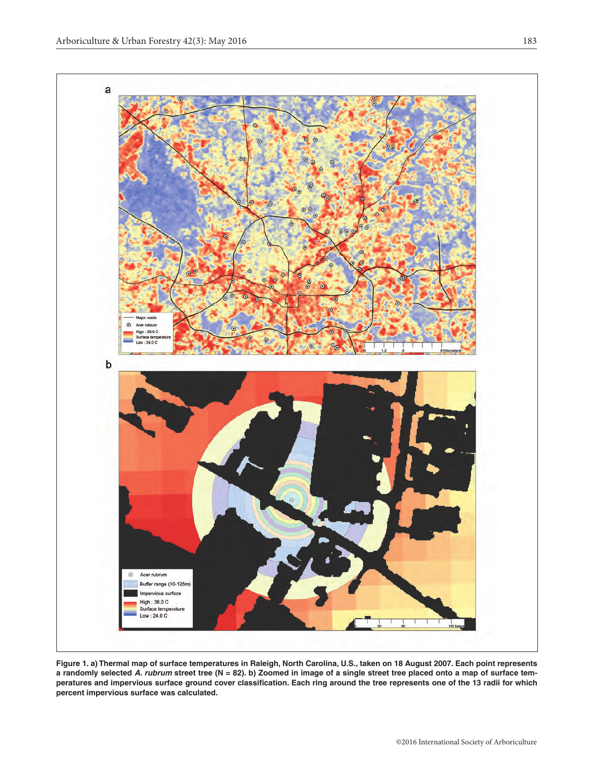

**Figure 1. a) Thermal map of surface temperatures in Raleigh, North Carolina, U.S., taken on 18 August 2007. Each point represents a randomly selected** *A. rubrum* **street tree (N = 82). b) Zoomed in image of a single street tree placed onto a map of surface temperatures and impervious surface ground cover classification. Each ring around the tree represents one of the 13 radii for which percent impervious surface was calculated.**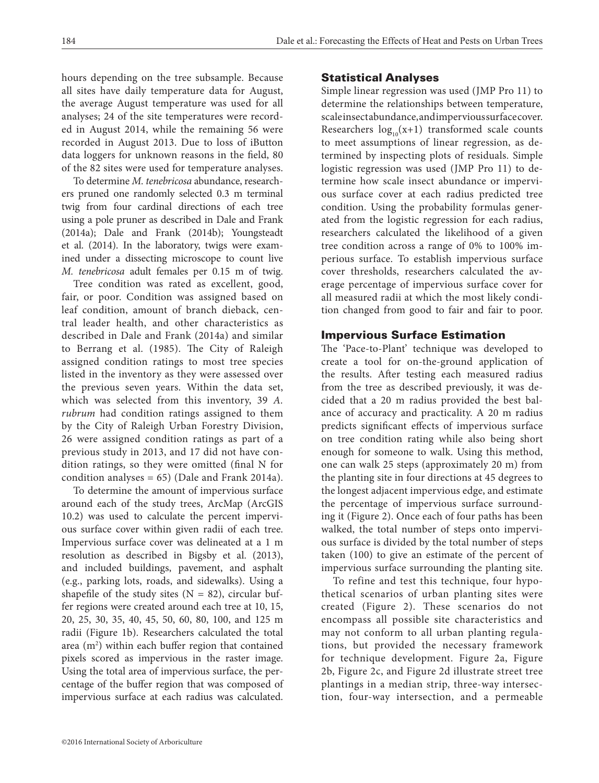hours depending on the tree subsample. Because all sites have daily temperature data for August, the average August temperature was used for all analyses; 24 of the site temperatures were recorded in August 2014, while the remaining 56 were recorded in August 2013. Due to loss of iButton data loggers for unknown reasons in the field, 80 of the 82 sites were used for temperature analyses.

To determine *M. tenebricosa* abundance, researchers pruned one randomly selected 0.3 m terminal twig from four cardinal directions of each tree using a pole pruner as described in Dale and Frank (2014a); Dale and Frank (2014b); Youngsteadt et al. (2014). In the laboratory, twigs were examined under a dissecting microscope to count live *M. tenebricosa* adult females per 0.15 m of twig.

Tree condition was rated as excellent, good, fair, or poor. Condition was assigned based on leaf condition, amount of branch dieback, central leader health, and other characteristics as described in Dale and Frank (2014a) and similar to Berrang et al. (1985). The City of Raleigh assigned condition ratings to most tree species listed in the inventory as they were assessed over the previous seven years. Within the data set, which was selected from this inventory, 39 *A. rubrum* had condition ratings assigned to them by the City of Raleigh Urban Forestry Division, 26 were assigned condition ratings as part of a previous study in 2013, and 17 did not have condition ratings, so they were omitted (final N for condition analyses =  $65$ ) (Dale and Frank 2014a).

To determine the amount of impervious surface around each of the study trees, ArcMap (ArcGIS 10.2) was used to calculate the percent impervious surface cover within given radii of each tree. Impervious surface cover was delineated at a 1 m resolution as described in Bigsby et al. (2013), and included buildings, pavement, and asphalt (e.g., parking lots, roads, and sidewalks). Using a shapefile of the study sites  $(N = 82)$ , circular buffer regions were created around each tree at 10, 15, 20, 25, 30, 35, 40, 45, 50, 60, 80, 100, and 125 m radii (Figure 1b). Researchers calculated the total area (m<sup>2</sup>) within each buffer region that contained pixels scored as impervious in the raster image. Using the total area of impervious surface, the percentage of the buffer region that was composed of impervious surface at each radius was calculated.

## Statistical Analyses

Simple linear regression was used (JMP Pro 11) to determine the relationships between temperature, scale insect abundance, and impervious surface cover. Researchers  $log_{10}(x+1)$  transformed scale counts to meet assumptions of linear regression, as determined by inspecting plots of residuals. Simple logistic regression was used (JMP Pro 11) to determine how scale insect abundance or impervious surface cover at each radius predicted tree condition. Using the probability formulas generated from the logistic regression for each radius, researchers calculated the likelihood of a given tree condition across a range of 0% to 100% imperious surface. To establish impervious surface cover thresholds, researchers calculated the average percentage of impervious surface cover for all measured radii at which the most likely condition changed from good to fair and fair to poor.

## Impervious Surface Estimation

The 'Pace-to-Plant' technique was developed to create a tool for on-the-ground application of the results. After testing each measured radius from the tree as described previously, it was decided that a 20 m radius provided the best balance of accuracy and practicality. A 20 m radius predicts significant effects of impervious surface on tree condition rating while also being short enough for someone to walk. Using this method, one can walk 25 steps (approximately 20 m) from the planting site in four directions at 45 degrees to the longest adjacent impervious edge, and estimate the percentage of impervious surface surrounding it (Figure 2). Once each of four paths has been walked, the total number of steps onto impervious surface is divided by the total number of steps taken (100) to give an estimate of the percent of impervious surface surrounding the planting site.

To refine and test this technique, four hypothetical scenarios of urban planting sites were created (Figure 2). These scenarios do not encompass all possible site characteristics and may not conform to all urban planting regulations, but provided the necessary framework for technique development. Figure 2a, Figure 2b, Figure 2c, and Figure 2d illustrate street tree plantings in a median strip, three-way intersection, four-way intersection, and a permeable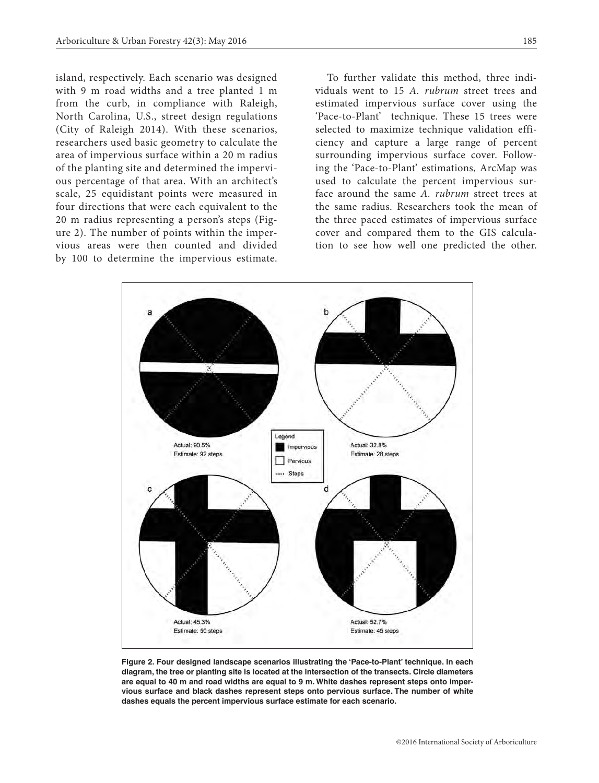island, respectively. Each scenario was designed with 9 m road widths and a tree planted 1 m from the curb, in compliance with Raleigh, North Carolina, U.S., street design regulations (City of Raleigh 2014). With these scenarios, researchers used basic geometry to calculate the area of impervious surface within a 20 m radius of the planting site and determined the impervious percentage of that area. With an architect's scale, 25 equidistant points were measured in four directions that were each equivalent to the 20 m radius representing a person's steps (Figure 2). The number of points within the impervious areas were then counted and divided by 100 to determine the impervious estimate.

To further validate this method, three individuals went to 15 *A. rubrum* street trees and estimated impervious surface cover using the 'Pace-to-Plant' technique. These 15 trees were selected to maximize technique validation efficiency and capture a large range of percent surrounding impervious surface cover. Following the 'Pace-to-Plant' estimations, ArcMap was used to calculate the percent impervious surface around the same *A. rubrum* street trees at the same radius. Researchers took the mean of the three paced estimates of impervious surface cover and compared them to the GIS calculation to see how well one predicted the other.



**Figure 2. Four designed landscape scenarios illustrating the 'Pace-to-Plant' technique. In each diagram, the tree or planting site is located at the intersection of the transects. Circle diameters are equal to 40 m and road widths are equal to 9 m. White dashes represent steps onto impervious surface and black dashes represent steps onto pervious surface. The number of white dashes equals the percent impervious surface estimate for each scenario.**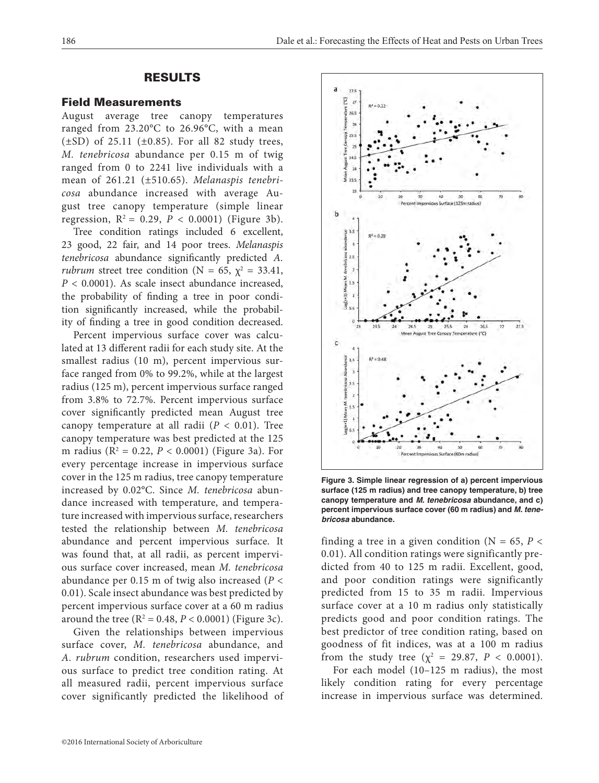# RESULTS

### Field Measurements

August average tree canopy temperatures ranged from 23.20°C to 26.96°C, with a mean  $(\pm SD)$  of 25.11  $(\pm 0.85)$ . For all 82 study trees, *M. tenebricosa* abundance per 0.15 m of twig ranged from 0 to 2241 live individuals with a mean of 261.21 (±510.65). *Melanaspis tenebricosa* abundance increased with average August tree canopy temperature (simple linear regression,  $R^2 = 0.29$ ,  $P < 0.0001$ ) (Figure 3b).

Tree condition ratings included 6 excellent, 23 good, 22 fair, and 14 poor trees. *Melanaspis tenebricosa* abundance significantly predicted *A. rubrum* street tree condition ( $N = 65$ ,  $\chi^2 = 33.41$ , *P* < 0.0001). As scale insect abundance increased, the probability of finding a tree in poor condition significantly increased, while the probability of finding a tree in good condition decreased.

Percent impervious surface cover was calculated at 13 different radii for each study site. At the smallest radius (10 m), percent impervious surface ranged from 0% to 99.2%, while at the largest radius (125 m), percent impervious surface ranged from 3.8% to 72.7%. Percent impervious surface cover significantly predicted mean August tree canopy temperature at all radii  $(P < 0.01)$ . Tree canopy temperature was best predicted at the 125 m radius (R2 = 0.22, *P* < 0.0001) (Figure 3a). For every percentage increase in impervious surface cover in the 125 m radius, tree canopy temperature increased by 0.02°C. Since *M. tenebricosa* abundance increased with temperature, and temperature increased with impervious surface, researchers tested the relationship between *M. tenebricosa* abundance and percent impervious surface. It was found that, at all radii, as percent impervious surface cover increased, mean *M. tenebricosa* abundance per 0.15 m of twig also increased (*P* < 0.01). Scale insect abundance was best predicted by percent impervious surface cover at a 60 m radius around the tree  $(R^2 = 0.48, P < 0.0001)$  (Figure 3c).

Given the relationships between impervious surface cover, *M. tenebricosa* abundance, and *A. rubrum* condition, researchers used impervious surface to predict tree condition rating. At all measured radii, percent impervious surface cover significantly predicted the likelihood of



**Figure 3. Simple linear regression of a) percent impervious surface (125 m radius) and tree canopy temperature, b) tree canopy temperature and** *M. tenebricosa* **abundance, and c) percent impervious surface cover (60 m radius) and** *M. tenebricosa* **abundance.**

finding a tree in a given condition ( $N = 65$ ,  $P <$ 0.01). All condition ratings were significantly predicted from 40 to 125 m radii. Excellent, good, and poor condition ratings were significantly predicted from 15 to 35 m radii. Impervious surface cover at a 10 m radius only statistically predicts good and poor condition ratings. The best predictor of tree condition rating, based on goodness of fit indices, was at a 100 m radius from the study tree ( $\chi^2 = 29.87$ ,  $P < 0.0001$ ).

For each model (10–125 m radius), the most likely condition rating for every percentage increase in impervious surface was determined.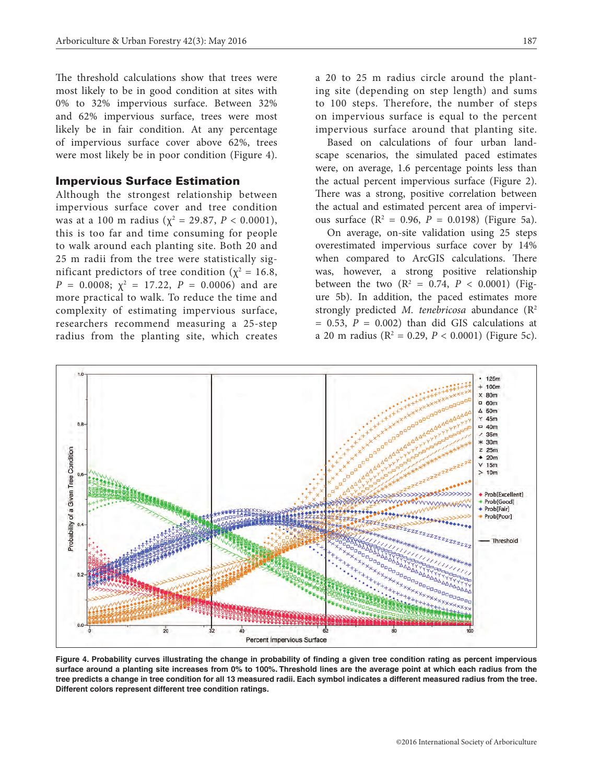The threshold calculations show that trees were most likely to be in good condition at sites with 0% to 32% impervious surface. Between 32% and 62% impervious surface, trees were most likely be in fair condition. At any percentage of impervious surface cover above 62%, trees were most likely be in poor condition (Figure 4).

#### Impervious Surface Estimation

Although the strongest relationship between impervious surface cover and tree condition was at a 100 m radius ( $\chi^2 = 29.87$ ,  $P < 0.0001$ ), this is too far and time consuming for people to walk around each planting site. Both 20 and 25 m radii from the tree were statistically significant predictors of tree condition ( $\chi^2 = 16.8$ ,  $P = 0.0008; \; \chi^2 = 17.22, \; P = 0.0006$  and are more practical to walk. To reduce the time and complexity of estimating impervious surface, researchers recommend measuring a 25-step radius from the planting site, which creates

a 20 to 25 m radius circle around the planting site (depending on step length) and sums to 100 steps. Therefore, the number of steps on impervious surface is equal to the percent impervious surface around that planting site.

Based on calculations of four urban landscape scenarios, the simulated paced estimates were, on average, 1.6 percentage points less than the actual percent impervious surface (Figure 2). There was a strong, positive correlation between the actual and estimated percent area of impervious surface  $(R^2 = 0.96, P = 0.0198)$  (Figure 5a).

On average, on-site validation using 25 steps overestimated impervious surface cover by 14% when compared to ArcGIS calculations. There was, however, a strong positive relationship between the two  $(R^2 = 0.74, P < 0.0001)$  (Figure 5b). In addition, the paced estimates more strongly predicted *M. tenebricosa* abundance (R2  $= 0.53$ ,  $P = 0.002$ ) than did GIS calculations at a 20 m radius (R2 = 0.29, *P* < 0.0001) (Figure 5c).



**Figure 4. Probability curves illustrating the change in probability of finding a given tree condition rating as percent impervious surface around a planting site increases from 0% to 100%. Threshold lines are the average point at which each radius from the tree predicts a change in tree condition for all 13 measured radii. Each symbol indicates a different measured radius from the tree. Different colors represent different tree condition ratings.**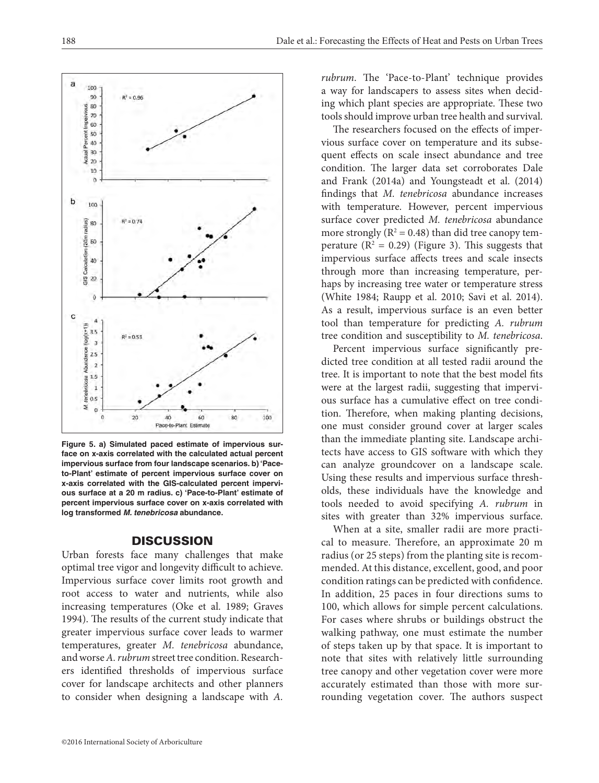$0.5$ ź  $\mathbf 0$ 0 20 40 60 80 100 Pace-to-Plant Estimate **Figure 5. a) Simulated paced estimate of impervious surface on x-axis correlated with the calculated actual percent impervious surface from four landscape scenarios. b) 'Paceto-Plant' estimate of percent impervious surface cover on x-axis correlated with the GIS-calculated percent impervious surface at a 20 m radius. c) 'Pace-to-Plant' estimate of percent impervious surface cover on x-axis correlated with log transformed** *M. tenebricosa* **abundance.**

#### **DISCUSSION**

Urban forests face many challenges that make optimal tree vigor and longevity difficult to achieve. Impervious surface cover limits root growth and root access to water and nutrients, while also increasing temperatures (Oke et al. 1989; Graves 1994). The results of the current study indicate that greater impervious surface cover leads to warmer temperatures, greater *M. tenebricosa* abundance, and worse *A. rubrum* street tree condition. Researchers identified thresholds of impervious surface cover for landscape architects and other planners to consider when designing a landscape with *A.* 

*rubrum*. The 'Pace-to-Plant' technique provides a way for landscapers to assess sites when deciding which plant species are appropriate. These two tools should improve urban tree health and survival.

The researchers focused on the effects of impervious surface cover on temperature and its subsequent effects on scale insect abundance and tree condition. The larger data set corroborates Dale and Frank (2014a) and Youngsteadt et al. (2014) findings that *M. tenebricosa* abundance increases with temperature. However, percent impervious surface cover predicted *M. tenebricosa* abundance more strongly ( $R^2 = 0.48$ ) than did tree canopy temperature  $(R^2 = 0.29)$  (Figure 3). This suggests that impervious surface affects trees and scale insects through more than increasing temperature, perhaps by increasing tree water or temperature stress (White 1984; Raupp et al. 2010; Savi et al. 2014). As a result, impervious surface is an even better tool than temperature for predicting *A. rubrum* tree condition and susceptibility to *M. tenebricosa*.

Percent impervious surface significantly predicted tree condition at all tested radii around the tree. It is important to note that the best model fits were at the largest radii, suggesting that impervious surface has a cumulative effect on tree condition. Therefore, when making planting decisions, one must consider ground cover at larger scales than the immediate planting site. Landscape architects have access to GIS software with which they can analyze groundcover on a landscape scale. Using these results and impervious surface thresholds, these individuals have the knowledge and tools needed to avoid specifying *A. rubrum* in sites with greater than 32% impervious surface.

When at a site, smaller radii are more practical to measure. Therefore, an approximate 20 m radius (or 25 steps) from the planting site is recommended. At this distance, excellent, good, and poor condition ratings can be predicted with confidence. In addition, 25 paces in four directions sums to 100, which allows for simple percent calculations. For cases where shrubs or buildings obstruct the walking pathway, one must estimate the number of steps taken up by that space. It is important to note that sites with relatively little surrounding tree canopy and other vegetation cover were more accurately estimated than those with more surrounding vegetation cover. The authors suspect

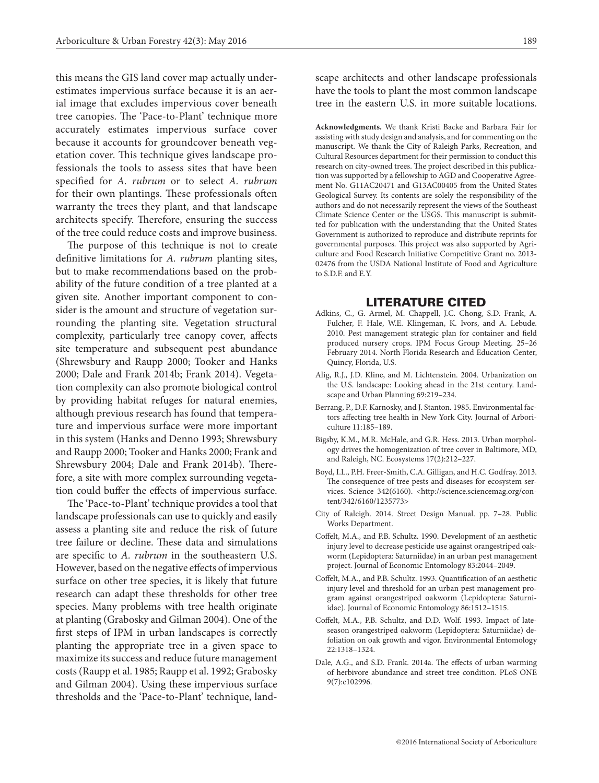this means the GIS land cover map actually underestimates impervious surface because it is an aerial image that excludes impervious cover beneath tree canopies. The 'Pace-to-Plant' technique more accurately estimates impervious surface cover because it accounts for groundcover beneath vegetation cover. This technique gives landscape professionals the tools to assess sites that have been specified for *A. rubrum* or to select *A. rubrum* for their own plantings. These professionals often warranty the trees they plant, and that landscape architects specify. Therefore, ensuring the success of the tree could reduce costs and improve business.

The purpose of this technique is not to create definitive limitations for *A. rubrum* planting sites, but to make recommendations based on the probability of the future condition of a tree planted at a given site. Another important component to consider is the amount and structure of vegetation surrounding the planting site. Vegetation structural complexity, particularly tree canopy cover, affects site temperature and subsequent pest abundance (Shrewsbury and Raupp 2000; Tooker and Hanks 2000; Dale and Frank 2014b; Frank 2014). Vegetation complexity can also promote biological control by providing habitat refuges for natural enemies, although previous research has found that temperature and impervious surface were more important in this system (Hanks and Denno 1993; Shrewsbury and Raupp 2000; Tooker and Hanks 2000; Frank and Shrewsbury 2004; Dale and Frank 2014b). Therefore, a site with more complex surrounding vegetation could buffer the effects of impervious surface.

The 'Pace-to-Plant' technique provides a tool that landscape professionals can use to quickly and easily assess a planting site and reduce the risk of future tree failure or decline. These data and simulations are specific to *A. rubrum* in the southeastern U.S. However, based on the negative effects of impervious surface on other tree species, it is likely that future research can adapt these thresholds for other tree species. Many problems with tree health originate at planting (Grabosky and Gilman 2004). One of the first steps of IPM in urban landscapes is correctly planting the appropriate tree in a given space to maximize its success and reduce future management costs (Raupp et al. 1985; Raupp et al. 1992; Grabosky and Gilman 2004). Using these impervious surface thresholds and the 'Pace-to-Plant' technique, landscape architects and other landscape professionals have the tools to plant the most common landscape tree in the eastern U.S. in more suitable locations.

**Acknowledgments.** We thank Kristi Backe and Barbara Fair for assisting with study design and analysis, and for commenting on the manuscript. We thank the City of Raleigh Parks, Recreation, and Cultural Resources department for their permission to conduct this research on city-owned trees. The project described in this publication was supported by a fellowship to AGD and Cooperative Agreement No. G11AC20471 and G13AC00405 from the United States Geological Survey. Its contents are solely the responsibility of the authors and do not necessarily represent the views of the Southeast Climate Science Center or the USGS. This manuscript is submitted for publication with the understanding that the United States Government is authorized to reproduce and distribute reprints for governmental purposes. This project was also supported by Agriculture and Food Research Initiative Competitive Grant no. 2013- 02476 from the USDA National Institute of Food and Agriculture to S.D.F. and E.Y.

#### LITERATURE CITED

- Adkins, C., G. Armel, M. Chappell, J.C. Chong, S.D. Frank, A. Fulcher, F. Hale, W.E. Klingeman, K. Ivors, and A. Lebude. 2010. Pest management strategic plan for container and field produced nursery crops. IPM Focus Group Meeting. 25–26 February 2014. North Florida Research and Education Center, Quincy, Florida, U.S.
- Alig, R.J., J.D. Kline, and M. Lichtenstein. 2004. Urbanization on the U.S. landscape: Looking ahead in the 21st century. Landscape and Urban Planning 69:219–234.
- Berrang, P., D.F. Karnosky, and J. Stanton. 1985. Environmental factors affecting tree health in New York City. Journal of Arboriculture 11:185–189.
- Bigsby, K.M., M.R. McHale, and G.R. Hess. 2013. Urban morphology drives the homogenization of tree cover in Baltimore, MD, and Raleigh, NC. Ecosystems 17(2):212–227.
- Boyd, I.L., P.H. Freer-Smith, C.A. Gilligan, and H.C. Godfray. 2013. The consequence of tree pests and diseases for ecosystem services. Science 342(6160). <http://science.sciencemag.org/content/342/6160/1235773>
- City of Raleigh. 2014. Street Design Manual. pp. 7–28. Public Works Department.
- Coffelt, M.A., and P.B. Schultz. 1990. Development of an aesthetic injury level to decrease pesticide use against orangestriped oakworm (Lepidoptera: Saturniidae) in an urban pest management project. Journal of Economic Entomology 83:2044–2049.
- Coffelt, M.A., and P.B. Schultz. 1993. Quantification of an aesthetic injury level and threshold for an urban pest management program against orangestriped oakworm (Lepidoptera: Saturniidae). Journal of Economic Entomology 86:1512–1515.
- Coffelt, M.A., P.B. Schultz, and D.D. Wolf. 1993. Impact of lateseason orangestriped oakworm (Lepidoptera: Saturniidae) defoliation on oak growth and vigor. Environmental Entomology 22:1318–1324.
- Dale, A.G., and S.D. Frank. 2014a. The effects of urban warming of herbivore abundance and street tree condition. PLoS ONE 9(7):e102996.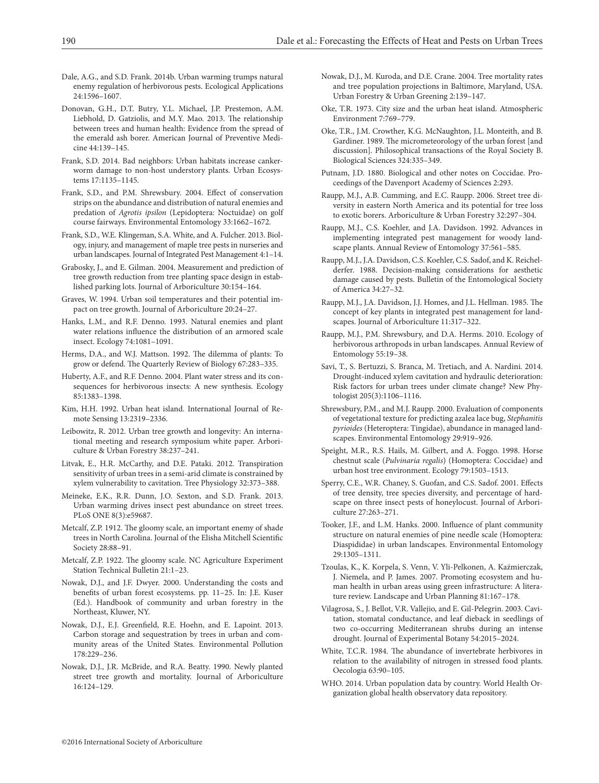- Dale, A.G., and S.D. Frank. 2014b. Urban warming trumps natural enemy regulation of herbivorous pests. Ecological Applications 24:1596–1607.
- Donovan, G.H., D.T. Butry, Y.L. Michael, J.P. Prestemon, A.M. Liebhold, D. Gatziolis, and M.Y. Mao. 2013. The relationship between trees and human health: Evidence from the spread of the emerald ash borer. American Journal of Preventive Medicine 44:139–145.
- Frank, S.D. 2014. Bad neighbors: Urban habitats increase cankerworm damage to non-host understory plants. Urban Ecosystems 17:1135–1145.
- Frank, S.D., and P.M. Shrewsbury. 2004. Effect of conservation strips on the abundance and distribution of natural enemies and predation of *Agrotis ipsilon* (Lepidoptera: Noctuidae) on golf course fairways. Environmental Entomology 33:1662–1672.
- Frank, S.D., W.E. Klingeman, S.A. White, and A. Fulcher. 2013. Biology, injury, and management of maple tree pests in nurseries and urban landscapes. Journal of Integrated Pest Management 4:1–14.
- Grabosky, J., and E. Gilman. 2004. Measurement and prediction of tree growth reduction from tree planting space design in established parking lots. Journal of Arboriculture 30:154–164.
- Graves, W. 1994. Urban soil temperatures and their potential impact on tree growth. Journal of Arboriculture 20:24–27.
- Hanks, L.M., and R.F. Denno. 1993. Natural enemies and plant water relations influence the distribution of an armored scale insect. Ecology 74:1081–1091.
- Herms, D.A., and W.J. Mattson. 1992. The dilemma of plants: To grow or defend. The Quarterly Review of Biology 67:283–335.
- Huberty, A.F., and R.F. Denno. 2004. Plant water stress and its consequences for herbivorous insects: A new synthesis. Ecology 85:1383–1398.
- Kim, H.H. 1992. Urban heat island. International Journal of Remote Sensing 13:2319–2336.
- Leibowitz, R. 2012. Urban tree growth and longevity: An international meeting and research symposium white paper. Arboriculture & Urban Forestry 38:237–241.
- Litvak, E., H.R. McCarthy, and D.E. Pataki. 2012. Transpiration sensitivity of urban trees in a semi-arid climate is constrained by xylem vulnerability to cavitation. Tree Physiology 32:373–388.
- Meineke, E.K., R.R. Dunn, J.O. Sexton, and S.D. Frank. 2013. Urban warming drives insect pest abundance on street trees. PLoS ONE 8(3):e59687.
- Metcalf, Z.P. 1912. The gloomy scale, an important enemy of shade trees in North Carolina. Journal of the Elisha Mitchell Scientific Society 28:88–91.
- Metcalf, Z.P. 1922. The gloomy scale. NC Agriculture Experiment Station Technical Bulletin 21:1–23.
- Nowak, D.J., and J.F. Dwyer. 2000. Understanding the costs and benefits of urban forest ecosystems. pp. 11–25. In: J.E. Kuser (Ed.). Handbook of community and urban forestry in the Northeast, Kluwer, NY.
- Nowak, D.J., E.J. Greenfield, R.E. Hoehn, and E. Lapoint. 2013. Carbon storage and sequestration by trees in urban and community areas of the United States. Environmental Pollution 178:229–236.
- Nowak, D.J., J.R. McBride, and R.A. Beatty. 1990. Newly planted street tree growth and mortality. Journal of Arboriculture 16:124–129.
- Nowak, D.J., M. Kuroda, and D.E. Crane. 2004. Tree mortality rates and tree population projections in Baltimore, Maryland, USA. Urban Forestry & Urban Greening 2:139–147.
- Oke, T.R. 1973. City size and the urban heat island. Atmospheric Environment 7:769–779.
- Oke, T.R., J.M. Crowther, K.G. McNaughton, J.L. Monteith, and B. Gardiner. 1989. The micrometeorology of the urban forest [and discussion]. Philosophical transactions of the Royal Society B. Biological Sciences 324:335–349.
- Putnam, J.D. 1880. Biological and other notes on Coccidae. Proceedings of the Davenport Academy of Sciences 2:293.
- Raupp, M.J., A.B. Cumming, and E.C. Raupp. 2006. Street tree diversity in eastern North America and its potential for tree loss to exotic borers. Arboriculture & Urban Forestry 32:297–304.
- Raupp, M.J., C.S. Koehler, and J.A. Davidson. 1992. Advances in implementing integrated pest management for woody landscape plants. Annual Review of Entomology 37:561–585.
- Raupp, M.J., J.A. Davidson, C.S. Koehler, C.S. Sadof, and K. Reichelderfer. 1988. Decision-making considerations for aesthetic damage caused by pests. Bulletin of the Entomological Society of America 34:27–32.
- Raupp, M.J., J.A. Davidson, J.J. Homes, and J.L. Hellman. 1985. The concept of key plants in integrated pest management for landscapes. Journal of Arboriculture 11:317–322.
- Raupp, M.J., P.M. Shrewsbury, and D.A. Herms. 2010. Ecology of herbivorous arthropods in urban landscapes. Annual Review of Entomology 55:19–38.
- Savi, T., S. Bertuzzi, S. Branca, M. Tretiach, and A. Nardini. 2014. Drought-induced xylem cavitation and hydraulic deterioration: Risk factors for urban trees under climate change? New Phytologist 205(3):1106–1116.
- Shrewsbury, P.M., and M.J. Raupp. 2000. Evaluation of components of vegetational texture for predicting azalea lace bug, *Stephanitis pyrioides* (Heteroptera: Tingidae), abundance in managed landscapes. Environmental Entomology 29:919–926.
- Speight, M.R., R.S. Hails, M. Gilbert, and A. Foggo. 1998. Horse chestnut scale (*Pulvinaria regalis*) (Homoptera: Coccidae) and urban host tree environment. Ecology 79:1503–1513.
- Sperry, C.E., W.R. Chaney, S. Guofan, and C.S. Sadof. 2001. Effects of tree density, tree species diversity, and percentage of hardscape on three insect pests of honeylocust. Journal of Arboriculture 27:263–271.
- Tooker, J.F., and L.M. Hanks. 2000. Influence of plant community structure on natural enemies of pine needle scale (Homoptera: Diaspididae) in urban landscapes. Environmental Entomology 29:1305–1311.
- Tzoulas, K., K. Korpela, S. Venn, V. Yli-Pelkonen, A. Kaźmierczak, J. Niemela, and P. James. 2007. Promoting ecosystem and human health in urban areas using green infrastructure: A literature review. Landscape and Urban Planning 81:167–178.
- Vilagrosa, S., J. Bellot, V.R. Vallejio, and E. Gil-Pelegrin. 2003. Cavitation, stomatal conductance, and leaf dieback in seedlings of two co-occurring Mediterranean shrubs during an intense drought. Journal of Experimental Botany 54:2015–2024.
- White, T.C.R. 1984. The abundance of invertebrate herbivores in relation to the availability of nitrogen in stressed food plants. Oecologia 63:90–105.
- WHO. 2014. Urban population data by country. World Health Organization global health observatory data repository.